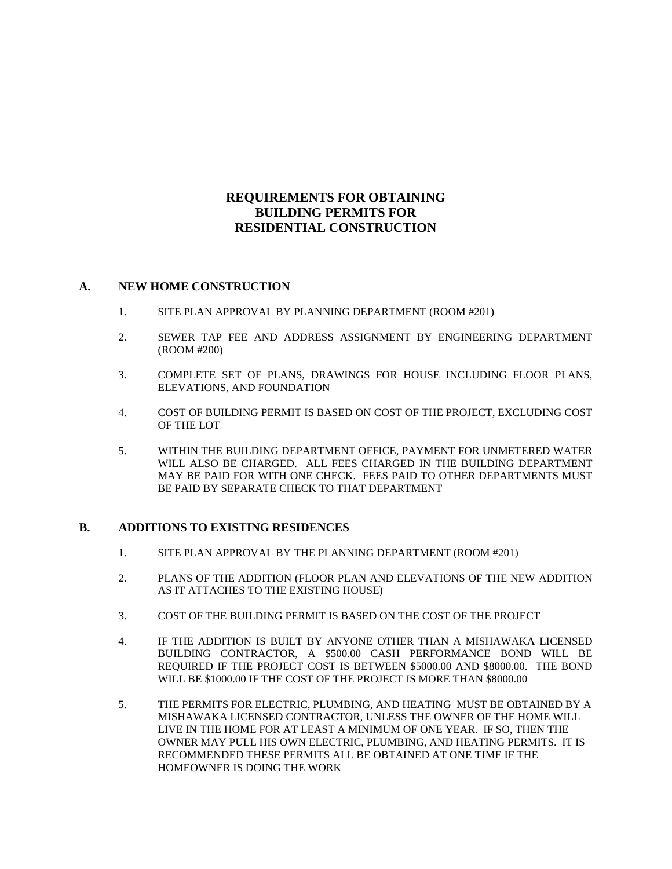## **REQUIREMENTS FOR OBTAINING BUILDING PERMITS FOR RESIDENTIAL CONSTRUCTION**

## **A. NEW HOME CONSTRUCTION**

- 1. SITE PLAN APPROVAL BY PLANNING DEPARTMENT (ROOM #201)
- 2. SEWER TAP FEE AND ADDRESS ASSIGNMENT BY ENGINEERING DEPARTMENT (ROOM #200)
- 3. COMPLETE SET OF PLANS, DRAWINGS FOR HOUSE INCLUDING FLOOR PLANS, ELEVATIONS, AND FOUNDATION
- 4. COST OF BUILDING PERMIT IS BASED ON COST OF THE PROJECT, EXCLUDING COST OF THE LOT
- 5. WITHIN THE BUILDING DEPARTMENT OFFICE, PAYMENT FOR UNMETERED WATER WILL ALSO BE CHARGED. ALL FEES CHARGED IN THE BUILDING DEPARTMENT MAY BE PAID FOR WITH ONE CHECK. FEES PAID TO OTHER DEPARTMENTS MUST BE PAID BY SEPARATE CHECK TO THAT DEPARTMENT

## **B. ADDITIONS TO EXISTING RESIDENCES**

- 1. SITE PLAN APPROVAL BY THE PLANNING DEPARTMENT (ROOM #201)
- 2. PLANS OF THE ADDITION (FLOOR PLAN AND ELEVATIONS OF THE NEW ADDITION AS IT ATTACHES TO THE EXISTING HOUSE)
- 3. COST OF THE BUILDING PERMIT IS BASED ON THE COST OF THE PROJECT
- 4. IF THE ADDITION IS BUILT BY ANYONE OTHER THAN A MISHAWAKA LICENSED BUILDING CONTRACTOR, A \$500.00 CASH PERFORMANCE BOND WILL BE REQUIRED IF THE PROJECT COST IS BETWEEN \$5000.00 AND \$8000.00. THE BOND WILL BE \$1000.00 IF THE COST OF THE PROJECT IS MORE THAN \$8000.00
- 5. THE PERMITS FOR ELECTRIC, PLUMBING, AND HEATING MUST BE OBTAINED BY A MISHAWAKA LICENSED CONTRACTOR, UNLESS THE OWNER OF THE HOME WILL LIVE IN THE HOME FOR AT LEAST A MINIMUM OF ONE YEAR. IF SO, THEN THE OWNER MAY PULL HIS OWN ELECTRIC, PLUMBING, AND HEATING PERMITS. IT IS RECOMMENDED THESE PERMITS ALL BE OBTAINED AT ONE TIME IF THE HOMEOWNER IS DOING THE WORK